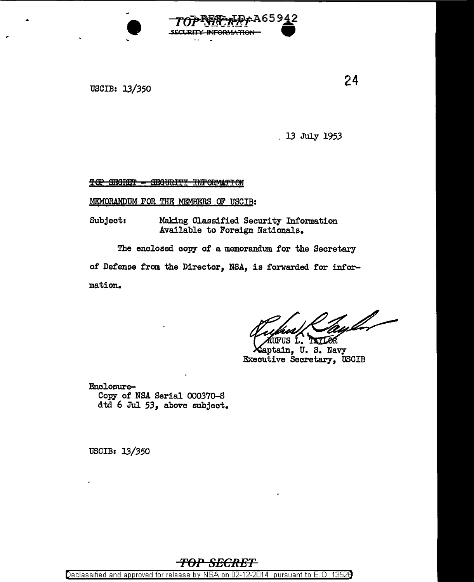

USCIB: 13/350

24

13 July 1953

TOP SECRET - SECURITY INFORMATION

MEMORANDUM FOR THE MEMBERS OF USCIB:

Subject: Making Classified Security Information Available to Foreign Nationals.

The enclosed copy of a memorandum for the Secretary of Defense from the Director, NSA, is forwarded for infor-

mation.

.<br>FUS L. TAXLOR

aptain, U.S. Navy Executive Secretary, USCIB

Enclosure-Copy of NSA Serial 000370-S dtd 6 Jul 53, above subject.

USCIB: 13/350



Declassified and approved for release by NSA on 02-12-2014 pursuant to E.O. 13526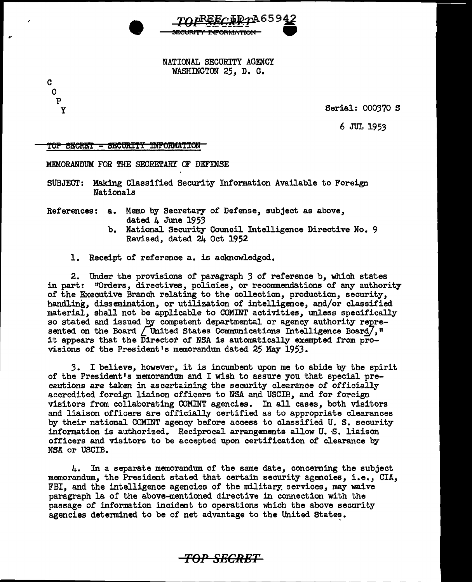

NATIONAL SECURITY AGENCY WASHINGTON 25, D. C.

Serial: 000370 S

 $6$  JUL 1953

TOP SECRET - SECURITY INFORMATION

c 0 p y

MEMORANDUM FOR THE SECRETARY OF DEFENSE

- SUBJECT: Making Classified Security Information Available to Foreign Nationals
- References: a. Memo by Secretary of Defense, subject as above, dated  $4 \text{ June } 1953$ 
	- b. National Security Council Intelligence Directive No. 9 Revised, dated 24 Oct 1952
	- 1. Receipt of reference a. is acknowledged.

2. Under the provisions of paragraph 3 of reference b, which states in part: 110rders, directives, policies, or recommendations of any authority of the Executive Branch relating to the collection, production, security, handling, dissemination, or utilization or intelligence, and/or classified material, shall not be applicable to COMINT activities, unless specifically so stated and issued by competent departmental or agency authority represented on the Board  $\sqrt{$  United States Communications Intelligence Board $\sqrt{}$ ,  $\sqrt{n}$ it appears that the Director of NSA is automatically exempted from provisions of the President <sup>1</sup>s memorandum dated 25 May 1953.

*3.* I believe, however, it is incumbent upon me to abide by the spirit of the President's memorandum and I wish to assure you that special precautions are taken in ascertaining the security clearance of officially accredited foreign liaison officers to NSA and USCIB, and for foreign visitors from collaborating COMINT agencies. In all cases, both visitors and liaison officers are officially certified as to appropriate clearances by their national COMINT agency before access to classified U. S. security information is authorized. Reciprocal arrangements allow U. S. liaison officers and visitors to be accepted upon certification of clearance by NSA or USCIB.

4. In a separate memorandum of the same date, concerning the subject memorandum, the President stated that certain security agencies, i.e., CIA, FBI, and the intelligence agencies of the military: services, may waive paragraph la of the above-mentioned directive in connection with the passage of information incident to operations which the above security agencies determined to be of net advantage to the United States.

*TOP SECRET*